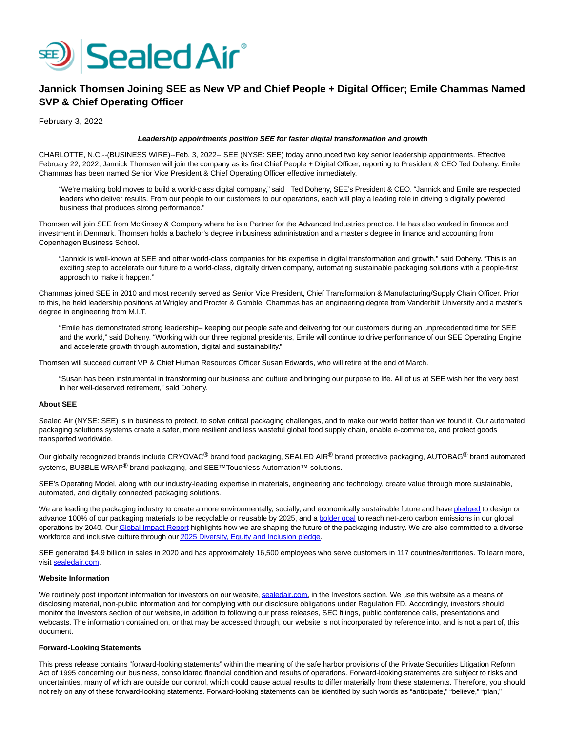

# **Jannick Thomsen Joining SEE as New VP and Chief People + Digital Officer; Emile Chammas Named SVP & Chief Operating Officer**

February 3, 2022

### **Leadership appointments position SEE for faster digital transformation and growth**

CHARLOTTE, N.C.--(BUSINESS WIRE)--Feb. 3, 2022-- SEE (NYSE: SEE) today announced two key senior leadership appointments. Effective February 22, 2022, Jannick Thomsen will join the company as its first Chief People + Digital Officer, reporting to President & CEO Ted Doheny. Emile Chammas has been named Senior Vice President & Chief Operating Officer effective immediately.

"We're making bold moves to build a world-class digital company," said Ted Doheny, SEE's President & CEO. "Jannick and Emile are respected leaders who deliver results. From our people to our customers to our operations, each will play a leading role in driving a digitally powered business that produces strong performance."

Thomsen will join SEE from McKinsey & Company where he is a Partner for the Advanced Industries practice. He has also worked in finance and investment in Denmark. Thomsen holds a bachelor's degree in business administration and a master's degree in finance and accounting from Copenhagen Business School.

"Jannick is well-known at SEE and other world-class companies for his expertise in digital transformation and growth," said Doheny. "This is an exciting step to accelerate our future to a world-class, digitally driven company, automating sustainable packaging solutions with a people-first approach to make it happen."

Chammas joined SEE in 2010 and most recently served as Senior Vice President, Chief Transformation & Manufacturing/Supply Chain Officer. Prior to this, he held leadership positions at Wrigley and Procter & Gamble. Chammas has an engineering degree from Vanderbilt University and a master's degree in engineering from M.I.T.

"Emile has demonstrated strong leadership– keeping our people safe and delivering for our customers during an unprecedented time for SEE and the world," said Doheny. "Working with our three regional presidents, Emile will continue to drive performance of our SEE Operating Engine and accelerate growth through automation, digital and sustainability."

Thomsen will succeed current VP & Chief Human Resources Officer Susan Edwards, who will retire at the end of March.

"Susan has been instrumental in transforming our business and culture and bringing our purpose to life. All of us at SEE wish her the very best in her well-deserved retirement," said Doheny.

### **About SEE**

Sealed Air (NYSE: SEE) is in business to protect, to solve critical packaging challenges, and to make our world better than we found it. Our automated packaging solutions systems create a safer, more resilient and less wasteful global food supply chain, enable e-commerce, and protect goods transported worldwide.

Our globally recognized brands include CRYOVAC<sup>®</sup> brand food packaging, SEALED AIR<sup>®</sup> brand protective packaging, AUTOBAG<sup>®</sup> brand automated systems, BUBBLE WRAP<sup>®</sup> brand packaging, and SEE<sup>™Touchless Automation™ solutions.</sup>

SEE's Operating Model, along with our industry-leading expertise in materials, engineering and technology, create value through more sustainable, automated, and digitally connected packaging solutions.

We are leading the packaging industry to create a more environmentally, socially, and economically sustainable future and hav[e pledged t](https://cts.businesswire.com/ct/CT?id=smartlink&url=https%3A%2F%2Fnam10.safelinks.protection.outlook.com%2F%3Furl%3Dhttps%253A%252F%252Fwww.sealedair.com%252Fcompany%252Fmedia-center%252Fpress-releases%252Fsealed-air-announces-bold-2025-sustainability-and-plastics-pledge%26data%3D04%257C01%257Cchristina.griffin%2540sealedair.com%257C56dcce14f1dd4b43670c08d993324fb2%257C2691a2514c384643af0b0c0982f197bd%257C0%257C0%257C637702666551637290%257CUnknown%257CTWFpbGZsb3d8eyJWIjoiMC4wLjAwMDAiLCJQIjoiV2luMzIiLCJBTiI6Ik1haWwiLCJXVCI6Mn0%253D%257C1000%26sdata%3D4fPI%252FtTL3mwR9TGuweke1B8nKMCOXbfy6%252B5DGA%252FeDUs%253D%26reserved%3D0&esheet=52573332&newsitemid=20220203005260&lan=en-US&anchor=pledged&index=1&md5=e0f06f819c8511060fd13d8c1124af26)o design or advance 100% of our packaging materials to be recyclable or reusable by 2025, and a **bolder goal** to reach net-zero carbon emissions in our global operations by 2040. Ou[r Global Impact Report h](https://cts.businesswire.com/ct/CT?id=smartlink&url=https%3A%2F%2Fnam10.safelinks.protection.outlook.com%2F%3Furl%3Dhttps%253A%252F%252Fwww.sealedair.com%252Fcompany%252Fsustainability%253Futm_source%253Dlinkedin%2526utm_medium%253Dsocial-organic%2526utm_campaign%253Dsustainability--sa%2526utm_term%253D%2526utm_platform%253Dsustainability%2526utm_region%253Dglobal%2526utm_program%253Dsustainability%2526utm_product%253Dgeneral%2526utm_content%253Dglobal-impact-report-digitally-connected%26data%3D04%257C01%257Cchristina.griffin%2540sealedair.com%257C56dcce14f1dd4b43670c08d993324fb2%257C2691a2514c384643af0b0c0982f197bd%257C0%257C0%257C637702666551637290%257CUnknown%257CTWFpbGZsb3d8eyJWIjoiMC4wLjAwMDAiLCJQIjoiV2luMzIiLCJBTiI6Ik1haWwiLCJXVCI6Mn0%253D%257C1000%26sdata%3Dn%252BG5UbwlTNZpBh970vKMyofdLjRIXpKoCNVH%252BMeH7t4%253D%26reserved%3D0&esheet=52573332&newsitemid=20220203005260&lan=en-US&anchor=Global+Impact+Report&index=3&md5=84d9da84dbe3231931dac7e782ed9d0f)ighlights how we are shaping the future of the packaging industry. We are also committed to a diverse workforce and inclusive culture through ou[r 2025 Diversity, Equity and Inclusion pledge.](https://cts.businesswire.com/ct/CT?id=smartlink&url=https%3A%2F%2Fnam10.safelinks.protection.outlook.com%2F%3Furl%3Dhttps%253A%252F%252Fwww.sealedair.com%252Fcompany%252Four-company%252Fdiversity-equity-and-inclusion%26data%3D04%257C01%257Cchristina.griffin%2540sealedair.com%257C56dcce14f1dd4b43670c08d993324fb2%257C2691a2514c384643af0b0c0982f197bd%257C0%257C0%257C637702666551657209%257CUnknown%257CTWFpbGZsb3d8eyJWIjoiMC4wLjAwMDAiLCJQIjoiV2luMzIiLCJBTiI6Ik1haWwiLCJXVCI6Mn0%253D%257C1000%26sdata%3DUL7HSwBfW5nLIpl8uZVDmrV4F4xlssFPs2kamAOo%252B0g%253D%26reserved%3D0&esheet=52573332&newsitemid=20220203005260&lan=en-US&anchor=2025+Diversity%2C+Equity+and+Inclusion+pledge&index=4&md5=48d2d8e4125ad29c464877e319c5b571)

SEE generated \$4.9 billion in sales in 2020 and has approximately 16,500 employees who serve customers in 117 countries/territories. To learn more, visit [sealedair.com.](https://cts.businesswire.com/ct/CT?id=smartlink&url=https%3A%2F%2Fnam10.safelinks.protection.outlook.com%2F%3Furl%3Dhttp%253A%252F%252Fsealedair.com%252F%26data%3D04%257C01%257Cchristina.griffin%2540sealedair.com%257C56dcce14f1dd4b43670c08d993324fb2%257C2691a2514c384643af0b0c0982f197bd%257C0%257C0%257C637702666551657209%257CUnknown%257CTWFpbGZsb3d8eyJWIjoiMC4wLjAwMDAiLCJQIjoiV2luMzIiLCJBTiI6Ik1haWwiLCJXVCI6Mn0%253D%257C1000%26sdata%3D%252FL%252FmAqXx5TyVjblD2i2t5aOM9VSiIt2GIXptgQdqGus%253D%26reserved%3D0&esheet=52573332&newsitemid=20220203005260&lan=en-US&anchor=sealedair.com&index=5&md5=ea2a11906b7e9b5eba5b2471c6fec999)

## **Website Information**

We routinely post important information for investors on our website[, sealedair.com,](http://sealedair.com/) in the Investors section. We use this website as a means of disclosing material, non-public information and for complying with our disclosure obligations under Regulation FD. Accordingly, investors should monitor the Investors section of our website, in addition to following our press releases, SEC filings, public conference calls, presentations and webcasts. The information contained on, or that may be accessed through, our website is not incorporated by reference into, and is not a part of, this document.

### **Forward-Looking Statements**

This press release contains "forward-looking statements" within the meaning of the safe harbor provisions of the Private Securities Litigation Reform Act of 1995 concerning our business, consolidated financial condition and results of operations. Forward-looking statements are subject to risks and uncertainties, many of which are outside our control, which could cause actual results to differ materially from these statements. Therefore, you should not rely on any of these forward-looking statements. Forward-looking statements can be identified by such words as "anticipate," "believe," "plan,"